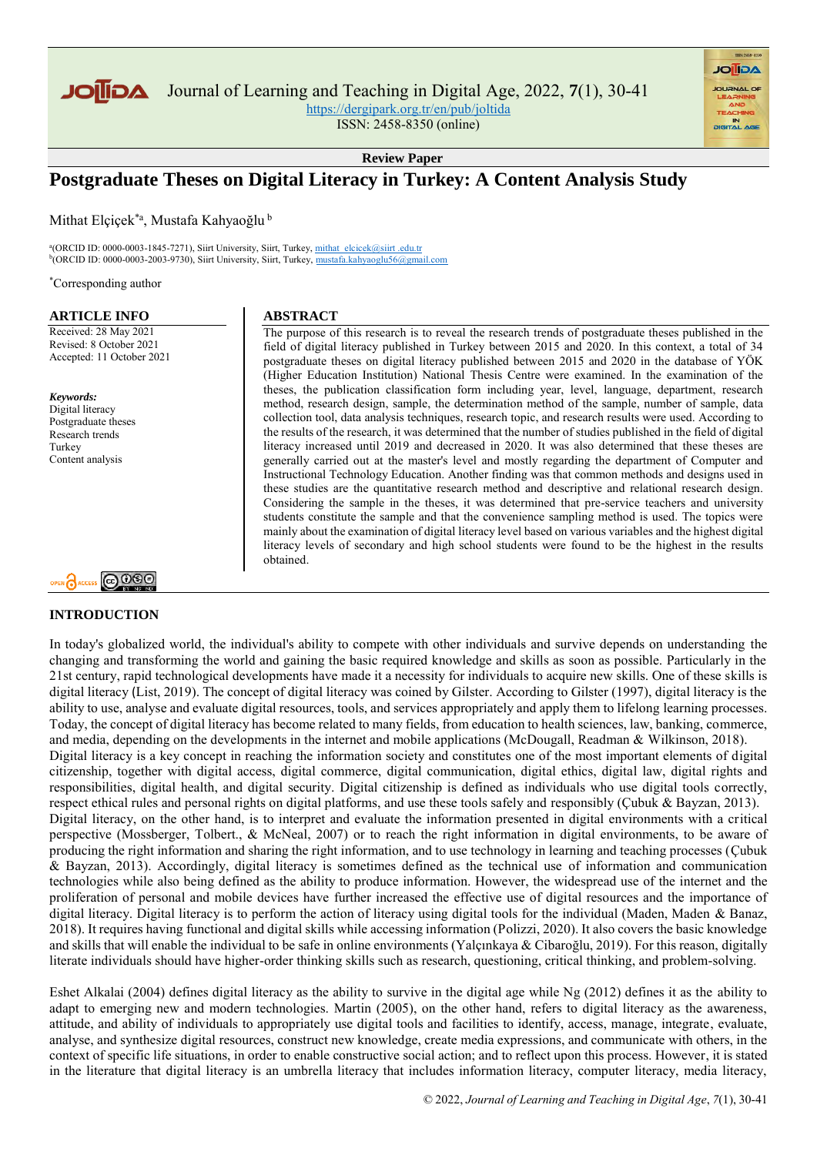

Journal of Learning and Teaching in Digital Age, 2022, **7**(1), 30-41

<https://dergipark.org.tr/en/pub/joltida>

ISSN: 2458-8350 (online)

**Review Paper**

# **Postgraduate Theses on Digital Literacy in Turkey: A Content Analysis Study**

Mithat Elçiçek<sup>\*a</sup>, Mustafa Kahyaoğlu<sup>b</sup>

<sup>a</sup>(ORCID ID: 0000-0003-1845-7271), Siirt University, Siirt, Turkey, <u>mithat\_elcicek@siirt .edu.tr</u><br><sup>b</sup>(ORCID ID: 0000-0003-2003-9730), Siirt University, Siirt, Turkey, <u>[mustafa.kahyaoglu56@gmail.com](mustafa.kahyaoglu56@gmail.com%20)</u>

\*Corresponding author

#### **ARTICLE INFO**

Received: 28 May 2021 Revised: 8 October 2021 Accepted: 11 October 2021

*Keywords:* Digital literacy Postgraduate theses Research trends Turkey Content analysis



# **INTRODUCTION**

#### **ABSTRACT**

The purpose of this research is to reveal the research trends of postgraduate theses published in the field of digital literacy published in Turkey between 2015 and 2020. In this context, a total of 34 postgraduate theses on digital literacy published between 2015 and 2020 in the database of YÖK (Higher Education Institution) National Thesis Centre were examined. In the examination of the theses, the publication classification form including year, level, language, department, research method, research design, sample, the determination method of the sample, number of sample, data collection tool, data analysis techniques, research topic, and research results were used. According to the results of the research, it was determined that the number of studies published in the field of digital literacy increased until 2019 and decreased in 2020. It was also determined that these theses are generally carried out at the master's level and mostly regarding the department of Computer and Instructional Technology Education. Another finding was that common methods and designs used in these studies are the quantitative research method and descriptive and relational research design. Considering the sample in the theses, it was determined that pre-service teachers and university students constitute the sample and that the convenience sampling method is used. The topics were mainly about the examination of digital literacy level based on various variables and the highest digital literacy levels of secondary and high school students were found to be the highest in the results obtained.

**AGIIOL** 

In today's globalized world, the individual's ability to compete with other individuals and survive depends on understanding the changing and transforming the world and gaining the basic required knowledge and skills as soon as possible. Particularly in the 21st century, rapid technological developments have made it a necessity for individuals to acquire new skills. One of these skills is digital literacy (List, 2019). The concept of digital literacy was coined by Gilster. According to Gilster (1997), digital literacy is the ability to use, analyse and evaluate digital resources, tools, and services appropriately and apply them to lifelong learning processes. Today, the concept of digital literacy has become related to many fields, from education to health sciences, law, banking, commerce, and media, depending on the developments in the internet and mobile applications (McDougall, Readman & Wilkinson, 2018). Digital literacy is a key concept in reaching the information society and constitutes one of the most important elements of digital citizenship, together with digital access, digital commerce, digital communication, digital ethics, digital law, digital rights and responsibilities, digital health, and digital security. Digital citizenship is defined as individuals who use digital tools correctly, respect ethical rules and personal rights on digital platforms, and use these tools safely and responsibly (Çubuk & Bayzan, 2013). Digital literacy, on the other hand, is to interpret and evaluate the information presented in digital environments with a critical perspective (Mossberger, Tolbert., & McNeal, 2007) or to reach the right information in digital environments, to be aware of producing the right information and sharing the right information, and to use technology in learning and teaching processes (Çubuk & Bayzan, 2013). Accordingly, digital literacy is sometimes defined as the technical use of information and communication technologies while also being defined as the ability to produce information. However, the widespread use of the internet and the proliferation of personal and mobile devices have further increased the effective use of digital resources and the importance of digital literacy. Digital literacy is to perform the action of literacy using digital tools for the individual (Maden, Maden & Banaz, 2018). It requires having functional and digital skills while accessing information (Polizzi, 2020). It also covers the basic knowledge and skills that will enable the individual to be safe in online environments (Yalçınkaya & Cibaroğlu, 2019). For this reason, digitally literate individuals should have higher-order thinking skills such as research, questioning, critical thinking, and problem-solving.

Eshet Alkalai (2004) defines digital literacy as the ability to survive in the digital age while Ng (2012) defines it as the ability to adapt to emerging new and modern technologies. Martin (2005), on the other hand, refers to digital literacy as the awareness, attitude, and ability of individuals to appropriately use digital tools and facilities to identify, access, manage, integrate, evaluate, analyse, and synthesize digital resources, construct new knowledge, create media expressions, and communicate with others, in the context of specific life situations, in order to enable constructive social action; and to reflect upon this process. However, it is stated in the literature that digital literacy is an umbrella literacy that includes information literacy, computer literacy, media literacy,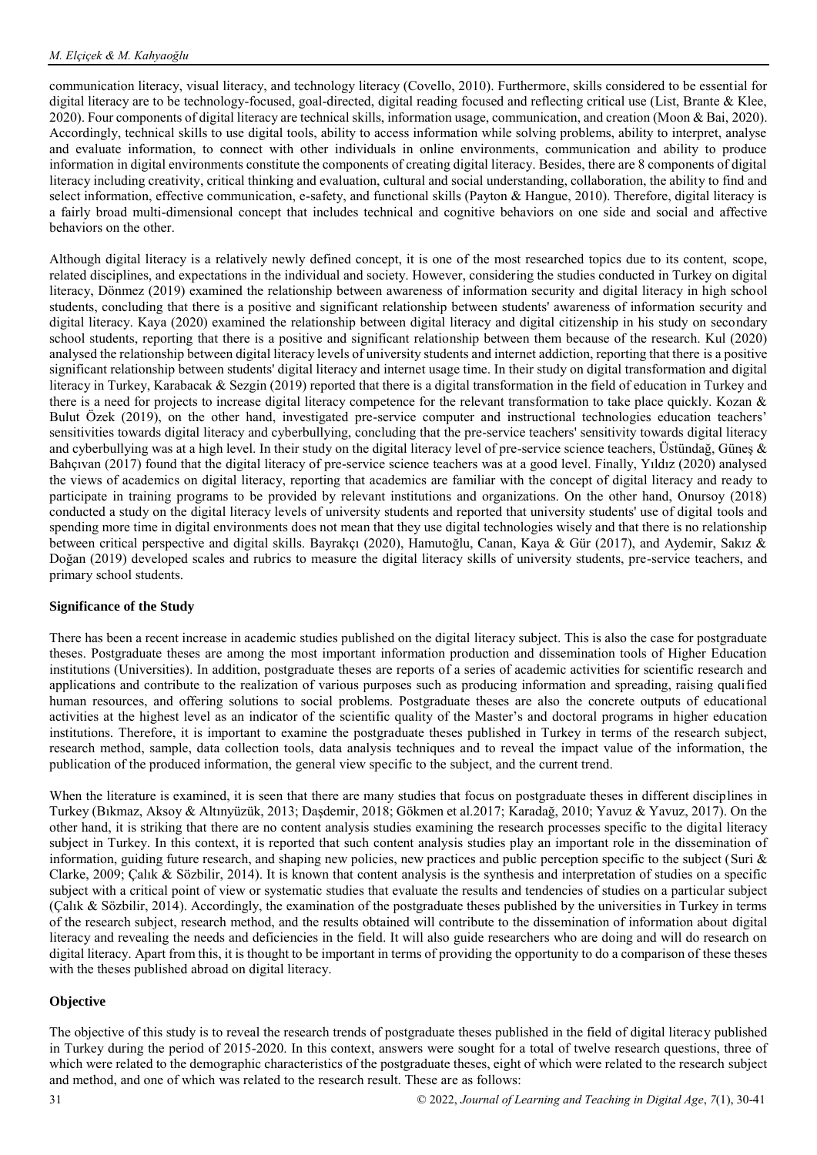communication literacy, visual literacy, and technology literacy (Covello, 2010). Furthermore, skills considered to be essential for digital literacy are to be technology-focused, goal-directed, digital reading focused and reflecting critical use (List, Brante & Klee, 2020). Four components of digital literacy are technical skills, information usage, communication, and creation (Moon & Bai, 2020). Accordingly, technical skills to use digital tools, ability to access information while solving problems, ability to interpret, analyse and evaluate information, to connect with other individuals in online environments, communication and ability to produce information in digital environments constitute the components of creating digital literacy. Besides, there are 8 components of digital literacy including creativity, critical thinking and evaluation, cultural and social understanding, collaboration, the ability to find and select information, effective communication, e-safety, and functional skills (Payton & Hangue, 2010). Therefore, digital literacy is a fairly broad multi-dimensional concept that includes technical and cognitive behaviors on one side and social and affective behaviors on the other.

Although digital literacy is a relatively newly defined concept, it is one of the most researched topics due to its content, scope, related disciplines, and expectations in the individual and society. However, considering the studies conducted in Turkey on digital literacy, Dönmez (2019) examined the relationship between awareness of information security and digital literacy in high school students, concluding that there is a positive and significant relationship between students' awareness of information security and digital literacy. Kaya (2020) examined the relationship between digital literacy and digital citizenship in his study on secondary school students, reporting that there is a positive and significant relationship between them because of the research. Kul (2020) analysed the relationship between digital literacy levels of university students and internet addiction, reporting that there is a positive significant relationship between students' digital literacy and internet usage time. In their study on digital transformation and digital literacy in Turkey, Karabacak & Sezgin (2019) reported that there is a digital transformation in the field of education in Turkey and there is a need for projects to increase digital literacy competence for the relevant transformation to take place quickly. Kozan & Bulut Özek (2019), on the other hand, investigated pre-service computer and instructional technologies education teachers' sensitivities towards digital literacy and cyberbullying, concluding that the pre-service teachers' sensitivity towards digital literacy and cyberbullying was at a high level. In their study on the digital literacy level of pre-service science teachers, Üstündağ, Güneş & Bahçıvan (2017) found that the digital literacy of pre-service science teachers was at a good level. Finally, Yıldız (2020) analysed the views of academics on digital literacy, reporting that academics are familiar with the concept of digital literacy and ready to participate in training programs to be provided by relevant institutions and organizations. On the other hand, Onursoy (2018) conducted a study on the digital literacy levels of university students and reported that university students' use of digital tools and spending more time in digital environments does not mean that they use digital technologies wisely and that there is no relationship between critical perspective and digital skills. Bayrakçı (2020), Hamutoğlu, Canan, Kaya & Gür (2017), and Aydemir, Sakız & Doğan (2019) developed scales and rubrics to measure the digital literacy skills of university students, pre-service teachers, and primary school students.

# **Significance of the Study**

There has been a recent increase in academic studies published on the digital literacy subject. This is also the case for postgraduate theses. Postgraduate theses are among the most important information production and dissemination tools of Higher Education institutions (Universities). In addition, postgraduate theses are reports of a series of academic activities for scientific research and applications and contribute to the realization of various purposes such as producing information and spreading, raising qualified human resources, and offering solutions to social problems. Postgraduate theses are also the concrete outputs of educational activities at the highest level as an indicator of the scientific quality of the Master's and doctoral programs in higher education institutions. Therefore, it is important to examine the postgraduate theses published in Turkey in terms of the research subject, research method, sample, data collection tools, data analysis techniques and to reveal the impact value of the information, the publication of the produced information, the general view specific to the subject, and the current trend.

When the literature is examined, it is seen that there are many studies that focus on postgraduate theses in different disciplines in Turkey (Bıkmaz, Aksoy & Altınyüzük, 2013; Daşdemir, 2018; Gökmen et al.2017; Karadağ, 2010; Yavuz & Yavuz, 2017). On the other hand, it is striking that there are no content analysis studies examining the research processes specific to the digital literacy subject in Turkey. In this context, it is reported that such content analysis studies play an important role in the dissemination of information, guiding future research, and shaping new policies, new practices and public perception specific to the subject (Suri  $\&$ Clarke, 2009; Çalık & Sözbilir, 2014). It is known that content analysis is the synthesis and interpretation of studies on a specific subject with a critical point of view or systematic studies that evaluate the results and tendencies of studies on a particular subject (Çalık & Sözbilir, 2014). Accordingly, the examination of the postgraduate theses published by the universities in Turkey in terms of the research subject, research method, and the results obtained will contribute to the dissemination of information about digital literacy and revealing the needs and deficiencies in the field. It will also guide researchers who are doing and will do research on digital literacy. Apart from this, it is thought to be important in terms of providing the opportunity to do a comparison of these theses with the theses published abroad on digital literacy.

# **Objective**

The objective of this study is to reveal the research trends of postgraduate theses published in the field of digital literacy published in Turkey during the period of 2015-2020. In this context, answers were sought for a total of twelve research questions, three of which were related to the demographic characteristics of the postgraduate theses, eight of which were related to the research subject and method, and one of which was related to the research result. These are as follows: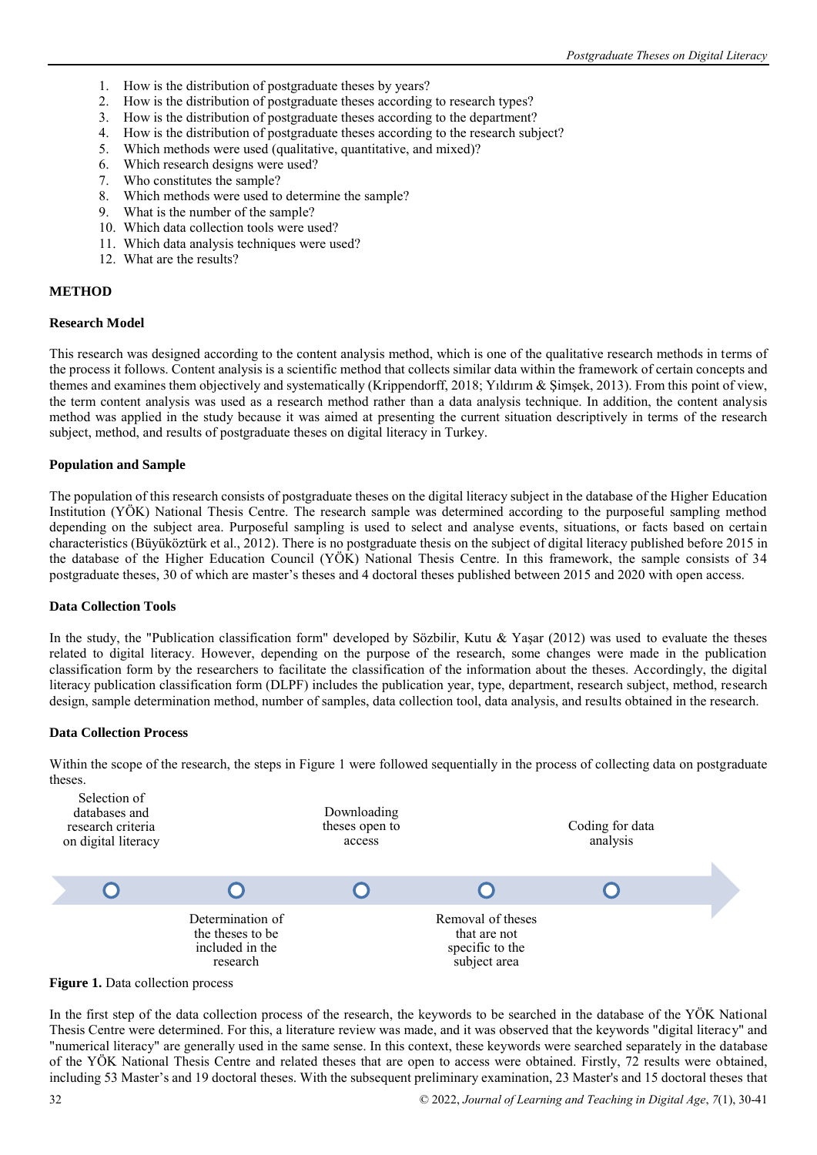- 1. How is the distribution of postgraduate theses by years?
- 2. How is the distribution of postgraduate theses according to research types?
- 3. How is the distribution of postgraduate theses according to the department?
- 4. How is the distribution of postgraduate theses according to the research subject?
- 5. Which methods were used (qualitative, quantitative, and mixed)?
- 6. Which research designs were used?
- 7. Who constitutes the sample?
- 8. Which methods were used to determine the sample?
- 9. What is the number of the sample?
- 10. Which data collection tools were used?
- 11. Which data analysis techniques were used?
- 12. What are the results?

#### **METHOD**

#### **Research Model**

This research was designed according to the content analysis method, which is one of the qualitative research methods in terms of the process it follows. Content analysis is a scientific method that collects similar data within the framework of certain concepts and themes and examines them objectively and systematically (Krippendorff, 2018; Yıldırım & Şimşek, 2013). From this point of view, the term content analysis was used as a research method rather than a data analysis technique. In addition, the content analysis method was applied in the study because it was aimed at presenting the current situation descriptively in terms of the research subject, method, and results of postgraduate theses on digital literacy in Turkey.

#### **Population and Sample**

The population of this research consists of postgraduate theses on the digital literacy subject in the database of the Higher Education Institution (YÖK) National Thesis Centre. The research sample was determined according to the purposeful sampling method depending on the subject area. Purposeful sampling is used to select and analyse events, situations, or facts based on certain characteristics (Büyüköztürk et al., 2012). There is no postgraduate thesis on the subject of digital literacy published before 2015 in the database of the Higher Education Council (YÖK) National Thesis Centre. In this framework, the sample consists of 34 postgraduate theses, 30 of which are master's theses and 4 doctoral theses published between 2015 and 2020 with open access.

#### **Data Collection Tools**

In the study, the "Publication classification form" developed by Sözbilir, Kutu & Yaşar (2012) was used to evaluate the theses related to digital literacy. However, depending on the purpose of the research, some changes were made in the publication classification form by the researchers to facilitate the classification of the information about the theses. Accordingly, the digital literacy publication classification form (DLPF) includes the publication year, type, department, research subject, method, research design, sample determination method, number of samples, data collection tool, data analysis, and results obtained in the research.

#### **Data Collection Process**

Within the scope of the research, the steps in Figure 1 were followed sequentially in the process of collecting data on postgraduate theses.





In the first step of the data collection process of the research, the keywords to be searched in the database of the YÖK National Thesis Centre were determined. For this, a literature review was made, and it was observed that the keywords "digital literacy" and "numerical literacy" are generally used in the same sense. In this context, these keywords were searched separately in the database of the YÖK National Thesis Centre and related theses that are open to access were obtained. Firstly, 72 results were obtained, including 53 Master's and 19 doctoral theses. With the subsequent preliminary examination, 23 Master's and 15 doctoral theses that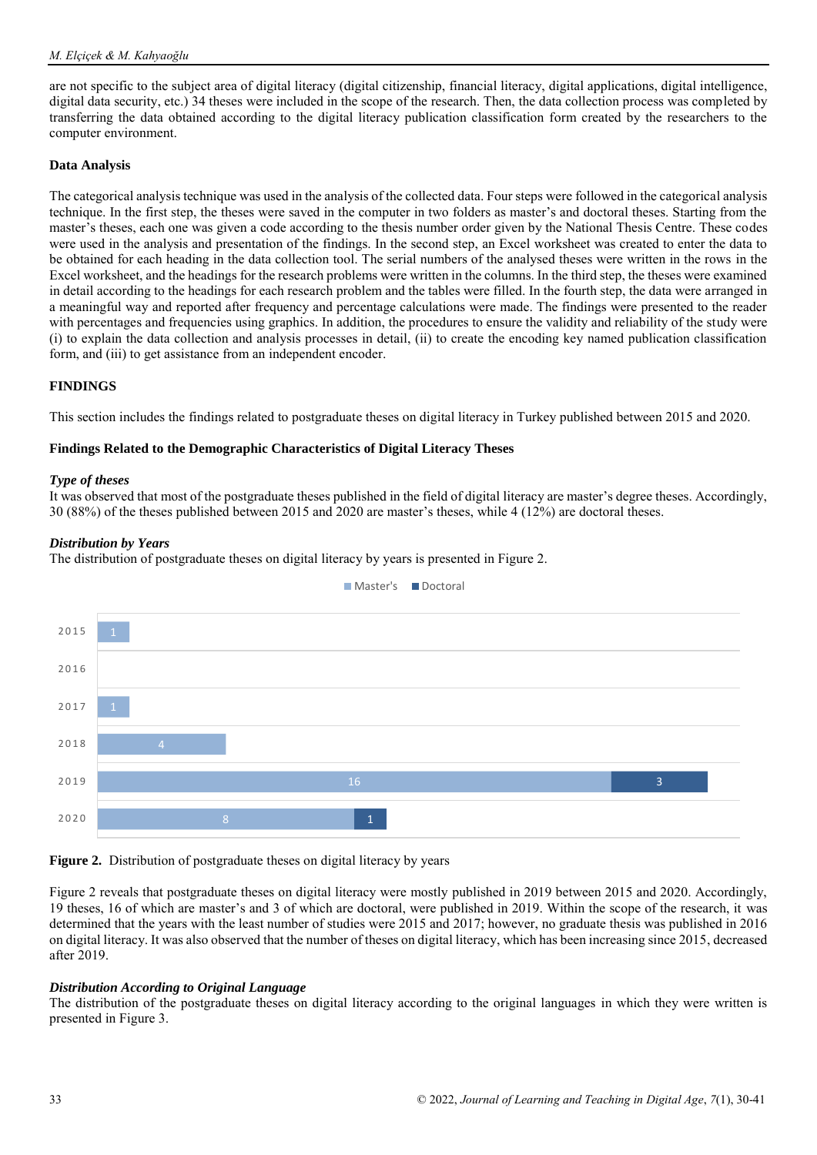are not specific to the subject area of digital literacy (digital citizenship, financial literacy, digital applications, digital intelligence, digital data security, etc.) 34 theses were included in the scope of the research. Then, the data collection process was completed by transferring the data obtained according to the digital literacy publication classification form created by the researchers to the computer environment.

#### **Data Analysis**

The categorical analysis technique was used in the analysis of the collected data. Four steps were followed in the categorical analysis technique. In the first step, the theses were saved in the computer in two folders as master's and doctoral theses. Starting from the master's theses, each one was given a code according to the thesis number order given by the National Thesis Centre. These codes were used in the analysis and presentation of the findings. In the second step, an Excel worksheet was created to enter the data to be obtained for each heading in the data collection tool. The serial numbers of the analysed theses were written in the rows in the Excel worksheet, and the headings for the research problems were written in the columns. In the third step, the theses were examined in detail according to the headings for each research problem and the tables were filled. In the fourth step, the data were arranged in a meaningful way and reported after frequency and percentage calculations were made. The findings were presented to the reader with percentages and frequencies using graphics. In addition, the procedures to ensure the validity and reliability of the study were (i) to explain the data collection and analysis processes in detail, (ii) to create the encoding key named publication classification form, and (iii) to get assistance from an independent encoder.

#### **FINDINGS**

This section includes the findings related to postgraduate theses on digital literacy in Turkey published between 2015 and 2020.

#### **Findings Related to the Demographic Characteristics of Digital Literacy Theses**

#### *Type of theses*

It was observed that most of the postgraduate theses published in the field of digital literacy are master's degree theses. Accordingly, 30 (88%) of the theses published between 2015 and 2020 are master's theses, while 4 (12%) are doctoral theses.

#### *Distribution by Years*

The distribution of postgraduate theses on digital literacy by years is presented in Figure 2.



# **Figure 2.** Distribution of postgraduate theses on digital literacy by years

Figure 2 reveals that postgraduate theses on digital literacy were mostly published in 2019 between 2015 and 2020. Accordingly, 19 theses, 16 of which are master's and 3 of which are doctoral, were published in 2019. Within the scope of the research, it was determined that the years with the least number of studies were 2015 and 2017; however, no graduate thesis was published in 2016 on digital literacy. It was also observed that the number of theses on digital literacy, which has been increasing since 2015, decreased after 2019.

#### *Distribution According to Original Language*

The distribution of the postgraduate theses on digital literacy according to the original languages in which they were written is presented in Figure 3.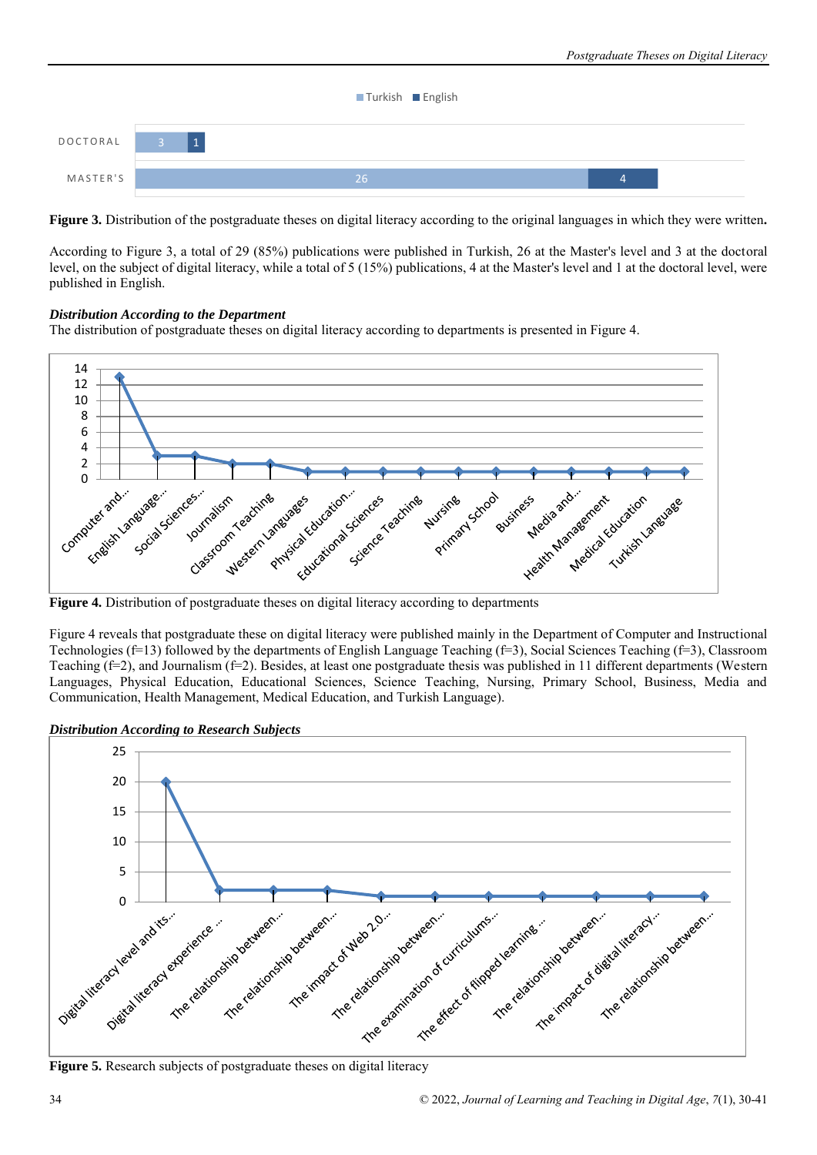

**Figure 3.** Distribution of the postgraduate theses on digital literacy according to the original languages in which they were written**.** 

According to Figure 3, a total of 29 (85%) publications were published in Turkish, 26 at the Master's level and 3 at the doctoral level, on the subject of digital literacy, while a total of 5 (15%) publications, 4 at the Master's level and 1 at the doctoral level, were published in English.

# *Distribution According to the Department*

The distribution of postgraduate theses on digital literacy according to departments is presented in Figure 4.



Figure 4 reveals that postgraduate these on digital literacy were published mainly in the Department of Computer and Instructional Technologies (f=13) followed by the departments of English Language Teaching (f=3), Social Sciences Teaching (f=3), Classroom Teaching  $(f=2)$ , and Journalism  $(f=2)$ . Besides, at least one postgraduate thesis was published in 11 different departments (Western Languages, Physical Education, Educational Sciences, Science Teaching, Nursing, Primary School, Business, Media and Communication, Health Management, Medical Education, and Turkish Language).

*Distribution According to Research Subjects* 

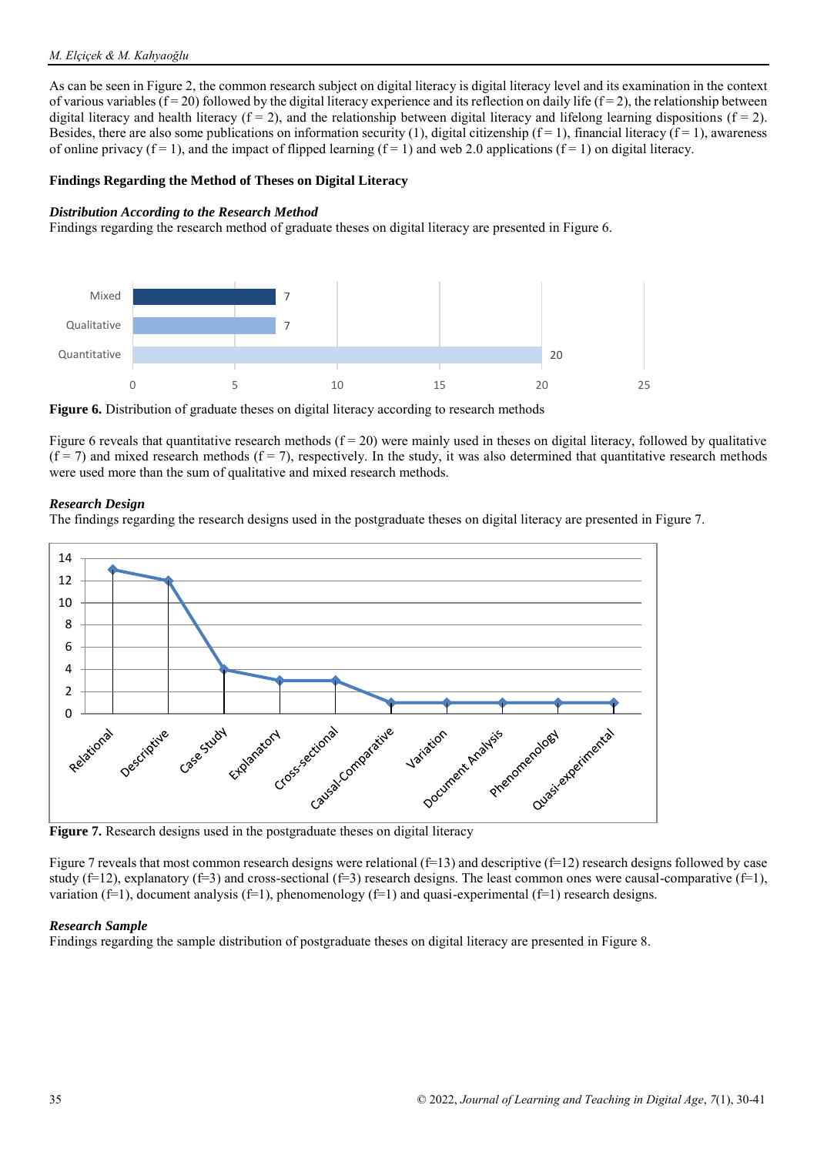#### *M. Elçiçek & M. Kahyaoğlu*

As can be seen in Figure 2, the common research subject on digital literacy is digital literacy level and its examination in the context of various variables  $(f = 20)$  followed by the digital literacy experience and its reflection on daily life  $(f = 2)$ , the relationship between digital literacy and health literacy  $(f = 2)$ , and the relationship between digital literacy and lifelong learning dispositions  $(f = 2)$ . Besides, there are also some publications on information security (1), digital citizenship ( $f = 1$ ), financial literacy ( $f = 1$ ), awareness of online privacy  $(f = 1)$ , and the impact of flipped learning  $(f = 1)$  and web 2.0 applications  $(f = 1)$  on digital literacy.

#### **Findings Regarding the Method of Theses on Digital Literacy**

#### *Distribution According to the Research Method*

Findings regarding the research method of graduate theses on digital literacy are presented in Figure 6.



**Figure 6.** Distribution of graduate theses on digital literacy according to research methods

Figure 6 reveals that quantitative research methods  $(f = 20)$  were mainly used in theses on digital literacy, followed by qualitative  $(f = 7)$  and mixed research methods  $(f = 7)$ , respectively. In the study, it was also determined that quantitative research methods were used more than the sum of qualitative and mixed research methods.

#### *Research Design*

The findings regarding the research designs used in the postgraduate theses on digital literacy are presented in Figure 7.



**Figure 7.** Research designs used in the postgraduate theses on digital literacy

Figure 7 reveals that most common research designs were relational  $(f=13)$  and descriptive  $(f=12)$  research designs followed by case study (f=12), explanatory (f=3) and cross-sectional (f=3) research designs. The least common ones were causal-comparative (f=1), variation ( $f=1$ ), document analysis ( $f=1$ ), phenomenology ( $f=1$ ) and quasi-experimental ( $f=1$ ) research designs.

#### *Research Sample*

Findings regarding the sample distribution of postgraduate theses on digital literacy are presented in Figure 8.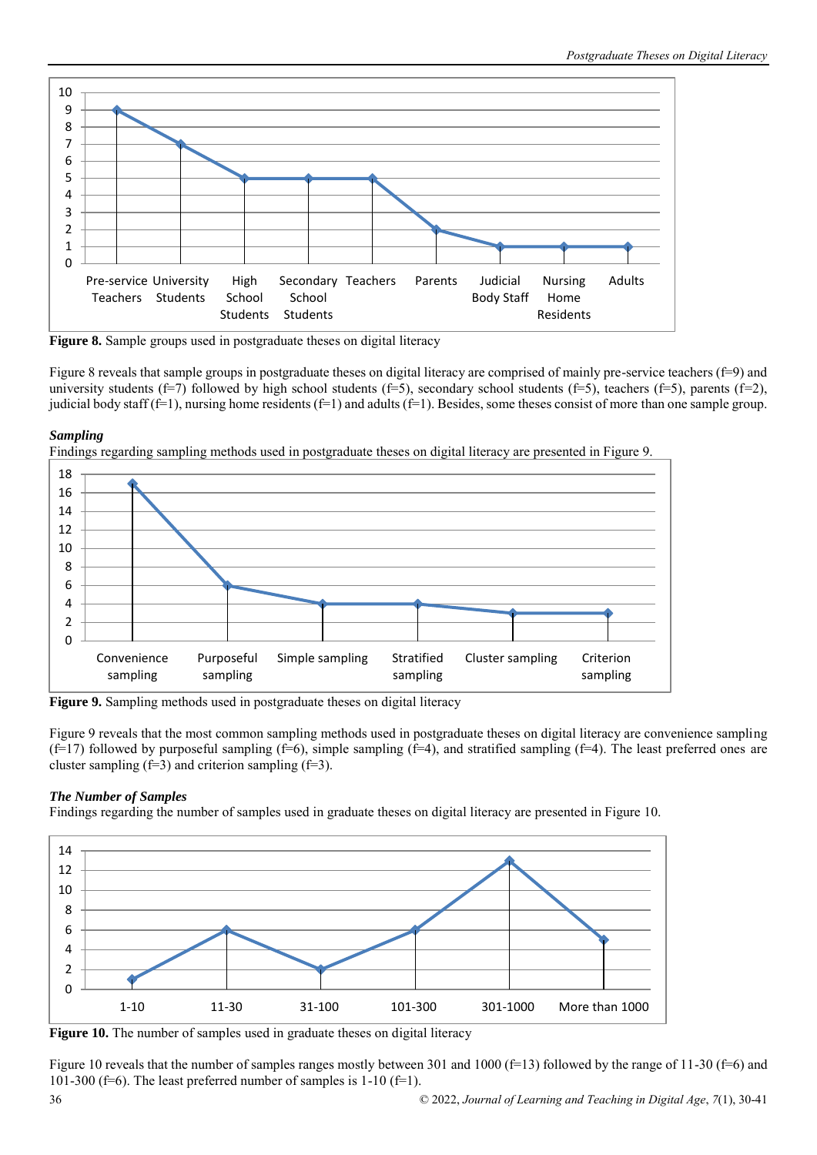

**Figure 8.** Sample groups used in postgraduate theses on digital literacy

Figure 8 reveals that sample groups in postgraduate theses on digital literacy are comprised of mainly pre-service teachers (f=9) and university students (f=7) followed by high school students (f=5), secondary school students (f=5), teachers (f=5), parents (f=2), judicial body staff ( $f=1$ ), nursing home residents ( $f=1$ ) and adults ( $f=1$ ). Besides, some theses consist of more than one sample group.

# *Sampling*





**Figure 9.** Sampling methods used in postgraduate theses on digital literacy

Figure 9 reveals that the most common sampling methods used in postgraduate theses on digital literacy are convenience sampling  $(f=17)$  followed by purposeful sampling  $(f=6)$ , simple sampling  $(f=4)$ , and stratified sampling  $(f=4)$ . The least preferred ones are cluster sampling  $(f=3)$  and criterion sampling  $(f=3)$ .

# *The Number of Samples*

Findings regarding the number of samples used in graduate theses on digital literacy are presented in Figure 10.



**Figure 10.** The number of samples used in graduate theses on digital literacy

Figure 10 reveals that the number of samples ranges mostly between 301 and 1000 ( $f=13$ ) followed by the range of 11-30 ( $f=6$ ) and 101-300 (f=6). The least preferred number of samples is  $1-10$  (f=1).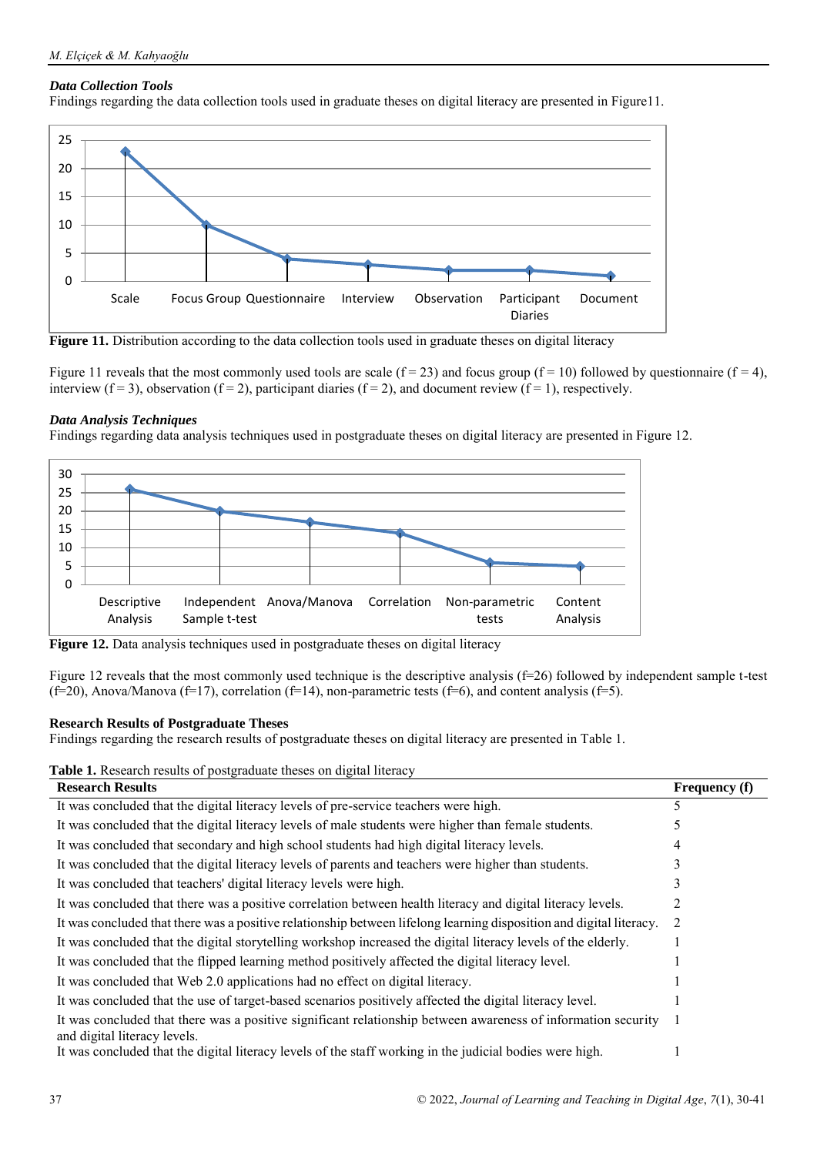# *Data Collection Tools*

Findings regarding the data collection tools used in graduate theses on digital literacy are presented in Figure11.



**Figure 11.** Distribution according to the data collection tools used in graduate theses on digital literacy

Figure 11 reveals that the most commonly used tools are scale  $(f = 23)$  and focus group  $(f = 10)$  followed by questionnaire  $(f = 4)$ , interview ( $f = 3$ ), observation ( $f = 2$ ), participant diaries ( $f = 2$ ), and document review ( $f = 1$ ), respectively.

# *Data Analysis Techniques*

Findings regarding data analysis techniques used in postgraduate theses on digital literacy are presented in Figure 12.



**Figure 12.** Data analysis techniques used in postgraduate theses on digital literacy

Figure 12 reveals that the most commonly used technique is the descriptive analysis (f=26) followed by independent sample t-test  $(f=20)$ , Anova/Manova  $(f=17)$ , correlation  $(f=14)$ , non-parametric tests  $(f=6)$ , and content analysis  $(f=5)$ .

# **Research Results of Postgraduate Theses**

Findings regarding the research results of postgraduate theses on digital literacy are presented in Table 1.

**Table 1.** Research results of postgraduate theses on digital literacy

| <b>Research Results</b>                                                                                                                       | <b>Frequency</b> (f) |
|-----------------------------------------------------------------------------------------------------------------------------------------------|----------------------|
| It was concluded that the digital literacy levels of pre-service teachers were high.                                                          | 5                    |
| It was concluded that the digital literacy levels of male students were higher than female students.                                          |                      |
| It was concluded that secondary and high school students had high digital literacy levels.                                                    |                      |
| It was concluded that the digital literacy levels of parents and teachers were higher than students.                                          |                      |
| It was concluded that teachers' digital literacy levels were high.                                                                            |                      |
| It was concluded that there was a positive correlation between health literacy and digital literacy levels.                                   |                      |
| It was concluded that there was a positive relationship between lifelong learning disposition and digital literacy.                           | 2                    |
| It was concluded that the digital storytelling workshop increased the digital literacy levels of the elderly.                                 |                      |
| It was concluded that the flipped learning method positively affected the digital literacy level.                                             |                      |
| It was concluded that Web 2.0 applications had no effect on digital literacy.                                                                 |                      |
| It was concluded that the use of target-based scenarios positively affected the digital literacy level.                                       |                      |
| It was concluded that there was a positive significant relationship between awareness of information security<br>and digital literacy levels. |                      |
| It was concluded that the digital literacy levels of the staff working in the judicial bodies were high.                                      |                      |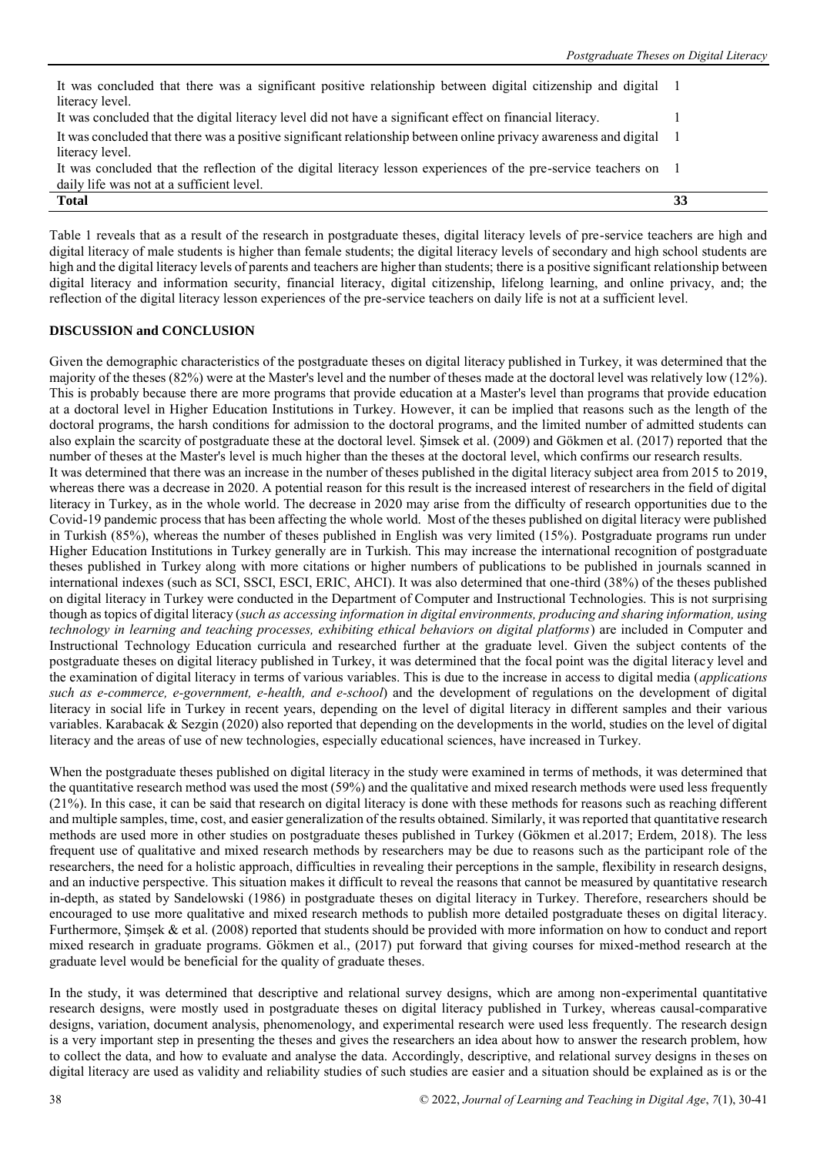| It was concluded that there was a significant positive relationship between digital citizenship and digital 1      |    |
|--------------------------------------------------------------------------------------------------------------------|----|
| literacy level.                                                                                                    |    |
| It was concluded that the digital literacy level did not have a significant effect on financial literacy.          |    |
| It was concluded that there was a positive significant relationship between online privacy awareness and digital 1 |    |
| literacy level.                                                                                                    |    |
| It was concluded that the reflection of the digital literacy lesson experiences of the pre-service teachers on 1   |    |
| daily life was not at a sufficient level.                                                                          |    |
| <b>Total</b>                                                                                                       | 33 |

Table 1 reveals that as a result of the research in postgraduate theses, digital literacy levels of pre-service teachers are high and digital literacy of male students is higher than female students; the digital literacy levels of secondary and high school students are high and the digital literacy levels of parents and teachers are higher than students; there is a positive significant relationship between digital literacy and information security, financial literacy, digital citizenship, lifelong learning, and online privacy, and; the reflection of the digital literacy lesson experiences of the pre-service teachers on daily life is not at a sufficient level.

# **DISCUSSION and CONCLUSION**

Given the demographic characteristics of the postgraduate theses on digital literacy published in Turkey, it was determined that the majority of the theses (82%) were at the Master's level and the number of theses made at the doctoral level was relatively low (12%). This is probably because there are more programs that provide education at a Master's level than programs that provide education at a doctoral level in Higher Education Institutions in Turkey. However, it can be implied that reasons such as the length of the doctoral programs, the harsh conditions for admission to the doctoral programs, and the limited number of admitted students can also explain the scarcity of postgraduate these at the doctoral level. Şimsek et al. (2009) and Gökmen et al. (2017) reported that the number of theses at the Master's level is much higher than the theses at the doctoral level, which confirms our research results. It was determined that there was an increase in the number of theses published in the digital literacy subject area from 2015 to 2019, whereas there was a decrease in 2020. A potential reason for this result is the increased interest of researchers in the field of digital literacy in Turkey, as in the whole world. The decrease in 2020 may arise from the difficulty of research opportunities due to the Covid-19 pandemic process that has been affecting the whole world. Most of the theses published on digital literacy were published in Turkish (85%), whereas the number of theses published in English was very limited (15%). Postgraduate programs run under Higher Education Institutions in Turkey generally are in Turkish. This may increase the international recognition of postgraduate theses published in Turkey along with more citations or higher numbers of publications to be published in journals scanned in international indexes (such as SCI, SSCI, ESCI, ERIC, AHCI). It was also determined that one-third (38%) of the theses published on digital literacy in Turkey were conducted in the Department of Computer and Instructional Technologies. This is not surprising though as topics of digital literacy (*such as accessing information in digital environments, producing and sharing information, using technology in learning and teaching processes, exhibiting ethical behaviors on digital platforms*) are included in Computer and Instructional Technology Education curricula and researched further at the graduate level. Given the subject contents of the postgraduate theses on digital literacy published in Turkey, it was determined that the focal point was the digital literacy level and the examination of digital literacy in terms of various variables. This is due to the increase in access to digital media (*applications such as e-commerce, e-government, e-health, and e-school*) and the development of regulations on the development of digital literacy in social life in Turkey in recent years, depending on the level of digital literacy in different samples and their various variables. Karabacak & Sezgin (2020) also reported that depending on the developments in the world, studies on the level of digital literacy and the areas of use of new technologies, especially educational sciences, have increased in Turkey.

When the postgraduate theses published on digital literacy in the study were examined in terms of methods, it was determined that the quantitative research method was used the most (59%) and the qualitative and mixed research methods were used less frequently (21%). In this case, it can be said that research on digital literacy is done with these methods for reasons such as reaching different and multiple samples, time, cost, and easier generalization of the results obtained. Similarly, it was reported that quantitative research methods are used more in other studies on postgraduate theses published in Turkey (Gökmen et al.2017; Erdem, 2018). The less frequent use of qualitative and mixed research methods by researchers may be due to reasons such as the participant role of the researchers, the need for a holistic approach, difficulties in revealing their perceptions in the sample, flexibility in research designs, and an inductive perspective. This situation makes it difficult to reveal the reasons that cannot be measured by quantitative research in-depth, as stated by Sandelowski (1986) in postgraduate theses on digital literacy in Turkey. Therefore, researchers should be encouraged to use more qualitative and mixed research methods to publish more detailed postgraduate theses on digital literacy. Furthermore, Şimşek & et al. (2008) reported that students should be provided with more information on how to conduct and report mixed research in graduate programs. Gökmen et al., (2017) put forward that giving courses for mixed-method research at the graduate level would be beneficial for the quality of graduate theses.

In the study, it was determined that descriptive and relational survey designs, which are among non-experimental quantitative research designs, were mostly used in postgraduate theses on digital literacy published in Turkey, whereas causal-comparative designs, variation, document analysis, phenomenology, and experimental research were used less frequently. The research design is a very important step in presenting the theses and gives the researchers an idea about how to answer the research problem, how to collect the data, and how to evaluate and analyse the data. Accordingly, descriptive, and relational survey designs in theses on digital literacy are used as validity and reliability studies of such studies are easier and a situation should be explained as is or the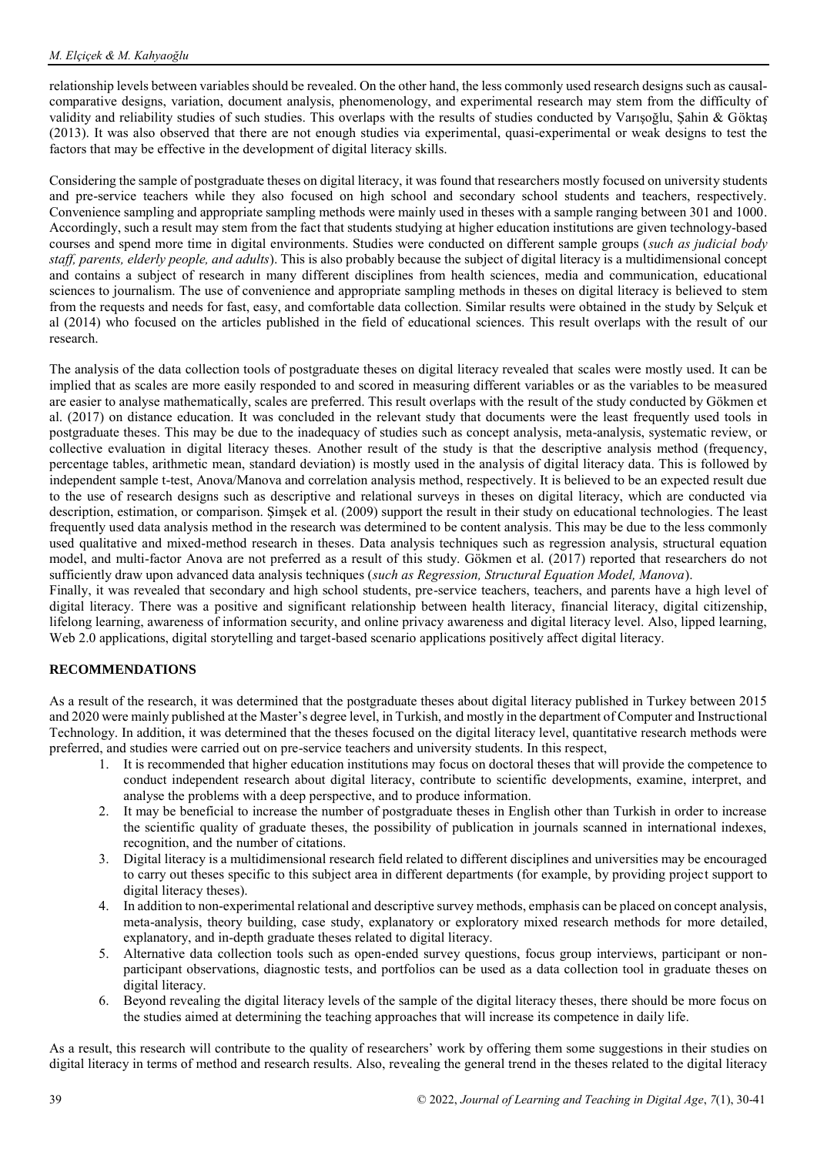relationship levels between variables should be revealed. On the other hand, the less commonly used research designs such as causalcomparative designs, variation, document analysis, phenomenology, and experimental research may stem from the difficulty of validity and reliability studies of such studies. This overlaps with the results of studies conducted by Varışoğlu, Şahin & Göktaş (2013). It was also observed that there are not enough studies via experimental, quasi-experimental or weak designs to test the factors that may be effective in the development of digital literacy skills.

Considering the sample of postgraduate theses on digital literacy, it was found that researchers mostly focused on university students and pre-service teachers while they also focused on high school and secondary school students and teachers, respectively. Convenience sampling and appropriate sampling methods were mainly used in theses with a sample ranging between 301 and 1000. Accordingly, such a result may stem from the fact that students studying at higher education institutions are given technology-based courses and spend more time in digital environments. Studies were conducted on different sample groups (*such as judicial body staff, parents, elderly people, and adults*). This is also probably because the subject of digital literacy is a multidimensional concept and contains a subject of research in many different disciplines from health sciences, media and communication, educational sciences to journalism. The use of convenience and appropriate sampling methods in theses on digital literacy is believed to stem from the requests and needs for fast, easy, and comfortable data collection. Similar results were obtained in the study by Selçuk et al (2014) who focused on the articles published in the field of educational sciences. This result overlaps with the result of our research.

The analysis of the data collection tools of postgraduate theses on digital literacy revealed that scales were mostly used. It can be implied that as scales are more easily responded to and scored in measuring different variables or as the variables to be measured are easier to analyse mathematically, scales are preferred. This result overlaps with the result of the study conducted by Gökmen et al. (2017) on distance education. It was concluded in the relevant study that documents were the least frequently used tools in postgraduate theses. This may be due to the inadequacy of studies such as concept analysis, meta-analysis, systematic review, or collective evaluation in digital literacy theses. Another result of the study is that the descriptive analysis method (frequency, percentage tables, arithmetic mean, standard deviation) is mostly used in the analysis of digital literacy data. This is followed by independent sample t-test, Anova/Manova and correlation analysis method, respectively. It is believed to be an expected result due to the use of research designs such as descriptive and relational surveys in theses on digital literacy, which are conducted via description, estimation, or comparison. Şimşek et al. (2009) support the result in their study on educational technologies. The least frequently used data analysis method in the research was determined to be content analysis. This may be due to the less commonly used qualitative and mixed-method research in theses. Data analysis techniques such as regression analysis, structural equation model, and multi-factor Anova are not preferred as a result of this study. Gökmen et al. (2017) reported that researchers do not sufficiently draw upon advanced data analysis techniques (*such as Regression, Structural Equation Model, Manova*).

Finally, it was revealed that secondary and high school students, pre-service teachers, teachers, and parents have a high level of digital literacy. There was a positive and significant relationship between health literacy, financial literacy, digital citizenship, lifelong learning, awareness of information security, and online privacy awareness and digital literacy level. Also, lipped learning, Web 2.0 applications, digital storytelling and target-based scenario applications positively affect digital literacy.

# **RECOMMENDATIONS**

As a result of the research, it was determined that the postgraduate theses about digital literacy published in Turkey between 2015 and 2020 were mainly published at the Master's degree level, in Turkish, and mostly in the department of Computer and Instructional Technology. In addition, it was determined that the theses focused on the digital literacy level, quantitative research methods were preferred, and studies were carried out on pre-service teachers and university students. In this respect,

- 1. It is recommended that higher education institutions may focus on doctoral theses that will provide the competence to conduct independent research about digital literacy, contribute to scientific developments, examine, interpret, and analyse the problems with a deep perspective, and to produce information.
- 2. It may be beneficial to increase the number of postgraduate theses in English other than Turkish in order to increase the scientific quality of graduate theses, the possibility of publication in journals scanned in international indexes, recognition, and the number of citations.
- 3. Digital literacy is a multidimensional research field related to different disciplines and universities may be encouraged to carry out theses specific to this subject area in different departments (for example, by providing project support to digital literacy theses).
- 4. In addition to non-experimental relational and descriptive survey methods, emphasis can be placed on concept analysis, meta-analysis, theory building, case study, explanatory or exploratory mixed research methods for more detailed, explanatory, and in-depth graduate theses related to digital literacy.
- 5. Alternative data collection tools such as open-ended survey questions, focus group interviews, participant or nonparticipant observations, diagnostic tests, and portfolios can be used as a data collection tool in graduate theses on digital literacy.
- 6. Beyond revealing the digital literacy levels of the sample of the digital literacy theses, there should be more focus on the studies aimed at determining the teaching approaches that will increase its competence in daily life.

As a result, this research will contribute to the quality of researchers' work by offering them some suggestions in their studies on digital literacy in terms of method and research results. Also, revealing the general trend in the theses related to the digital literacy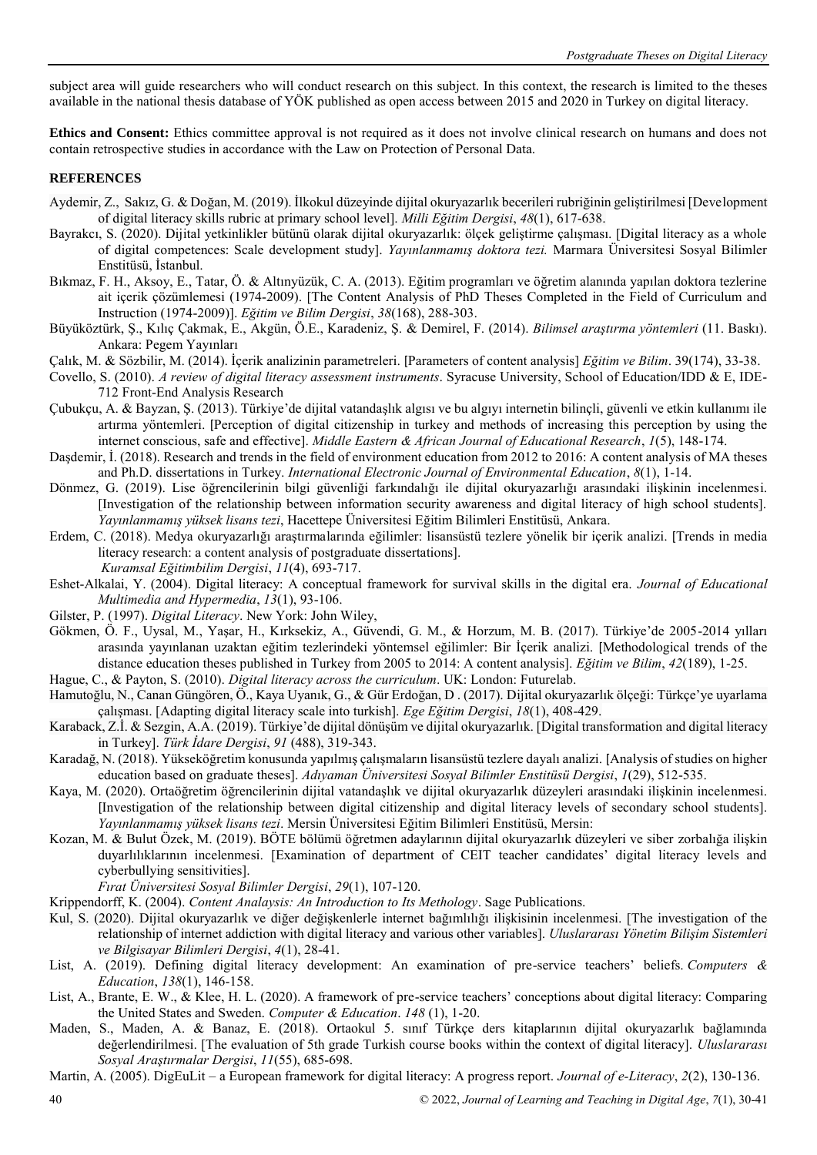subject area will guide researchers who will conduct research on this subject. In this context, the research is limited to the theses available in the national thesis database of YÖK published as open access between 2015 and 2020 in Turkey on digital literacy.

**Ethics and Consent:** Ethics committee approval is not required as it does not involve clinical research on humans and does not contain retrospective studies in accordance with the Law on Protection of Personal Data.

# **REFERENCES**

- Aydemir, Z., Sakız, G. & Doğan, M. (2019). İlkokul düzeyinde dijital okuryazarlık becerileri rubriğinin geliştirilmesi [Development of digital literacy skills rubric at primary school level]. *Milli Eğitim Dergisi*, *48*(1), 617-638.
- Bayrakcı, S. (2020). Dijital yetkinlikler bütünü olarak dijital okuryazarlık: ölçek geliştirme çalışması. [Digital literacy as a whole of digital competences: Scale development study]. *Yayınlanmamış doktora tezi.* Marmara Üniversitesi Sosyal Bilimler Enstitüsü, İstanbul.
- Bıkmaz, F. H., Aksoy, E., Tatar, Ö. & Altınyüzük, C. A. (2013). Eğitim programları ve öğretim alanında yapılan doktora tezlerine ait içerik çözümlemesi (1974-2009). [The Content Analysis of PhD Theses Completed in the Field of Curriculum and Instruction (1974-2009)]. *Eğitim ve Bilim Dergisi*, *38*(168), 288-303.
- Büyüköztürk, Ş., Kılıç Çakmak, E., Akgün, Ö.E., Karadeniz, Ş. & Demirel, F. (2014). *Bilimsel araştırma yöntemleri* (11. Baskı). Ankara: Pegem Yayınları
- Çalık, M. & Sözbilir, M. (2014). İçerik analizinin parametreleri. [Parameters of content analysis] *Eğitim ve Bilim*. 39(174), 33-38.
- Covello, S. (2010). *A review of digital literacy assessment instruments*. Syracuse University, School of Education/IDD & E, IDE-712 Front-End Analysis Research
- Çubukçu, A. & Bayzan, Ş. (2013). Türkiye'de dijital vatandaşlık algısı ve bu algıyı internetin bilinçli, güvenli ve etkin kullanımı ile artırma yöntemleri. [Perception of digital citizenship in turkey and methods of increasing this perception by using the internet conscious, safe and effective]. *Middle Eastern & African Journal of Educational Research*, *1*(5), 148-174.
- Daşdemir, İ. (2018). Research and trends in the field of environment education from 2012 to 2016: A content analysis of MA theses and Ph.D. dissertations in Turkey. *International Electronic Journal of Environmental Education*, *8*(1), 1-14.
- Dönmez, G. (2019). Lise öğrencilerinin bilgi güvenliği farkındalığı ile dijital okuryazarlığı arasındaki ilişkinin incelenmesi. [Investigation of the relationship between information security awareness and digital literacy of high school students]. *Yayınlanmamış yüksek lisans tezi*, Hacettepe Üniversitesi Eğitim Bilimleri Enstitüsü, Ankara.
- Erdem, C. (2018). Medya okuryazarlığı araştırmalarında eğilimler: lisansüstü tezlere yönelik bir içerik analizi. [Trends in media literacy research: a content analysis of postgraduate dissertations]. *Kuramsal Eğitimbilim Dergisi*, *11*(4), 693-717.
- Eshet-Alkalai, Y. (2004). Digital literacy: A conceptual framework for survival skills in the digital era. *Journal of Educational Multimedia and Hypermedia*, *13*(1), 93-106.
- Gilster, P. (1997). *Digital Literacy*. New York: John Wiley,
- Gökmen, Ö. F., Uysal, M., Yaşar, H., Kırksekiz, A., Güvendi, G. M., & Horzum, M. B. (2017). Türkiye'de 2005-2014 yılları arasında yayınlanan uzaktan eğitim tezlerindeki yöntemsel eğilimler: Bir İçerik analizi. [Methodological trends of the distance education theses published in Turkey from 2005 to 2014: A content analysis]. *Eğitim ve Bilim*, *42*(189), 1-25.
- Hague, C., & Payton, S. (2010). *Digital literacy across the curriculum*. UK: London: Futurelab.
- Hamutoğlu, N., Canan Güngören, Ö., Kaya Uyanık, G., & Gür Erdoğan, D . (2017). Dijital okuryazarlık ölçeği: Türkçe'ye uyarlama çalışması. [Adapting digital literacy scale into turkish]. *Ege Eğitim Dergisi*, *18*(1), 408-429.
- Karaback, Z.İ. & Sezgin, A.A. (2019). Türkiye'de dijital dönüşüm ve dijital okuryazarlık. [Digital transformation and digital literacy in Turkey]. *Türk İdare Dergisi*, *91* (488), 319-343.
- Karadağ, N. (2018). Yükseköğretim konusunda yapılmış çalışmaların lisansüstü tezlere dayalı analizi. [Analysis of studies on higher education based on graduate theses]. *Adıyaman Üniversitesi Sosyal Bilimler Enstitüsü Dergisi*, *1*(29), 512-535.
- Kaya, M. (2020). Ortaöğretim öğrencilerinin dijital vatandaşlık ve dijital okuryazarlık düzeyleri arasındaki ilişkinin incelenmesi. [Investigation of the relationship between digital citizenship and digital literacy levels of secondary school students]. *Yayınlanmamış yüksek lisans tezi*. Mersin Üniversitesi Eğitim Bilimleri Enstitüsü, Mersin:
- Kozan, M. & Bulut Özek, M. (2019). BÖTE bölümü öğretmen adaylarının dijital okuryazarlık düzeyleri ve siber zorbalığa ilişkin duyarlılıklarının incelenmesi. [Examination of department of CEIT teacher candidates' digital literacy levels and cyberbullying sensitivities].

*Fırat Üniversitesi Sosyal Bilimler Dergisi*, *29*(1), 107-120.

Krippendorff, K. (2004). *Content Analaysis: An Introduction to Its Methology*. Sage Publications.

- Kul, S. (2020). Dijital okuryazarlık ve diğer değişkenlerle internet bağımlılığı ilişkisinin incelenmesi. [The investigation of the relationship of internet addiction with digital literacy and various other variables]. *Uluslararası Yönetim Bilişim Sistemleri ve Bilgisayar Bilimleri Dergisi*, *4*(1), 28-41.
- List, A. (2019). Defining digital literacy development: An examination of pre-service teachers' beliefs. *Computers & Education*, *138*(1), 146-158.
- List, A., Brante, E. W., & Klee, H. L. (2020). A framework of pre-service teachers' conceptions about digital literacy: Comparing the United States and Sweden. *Computer & Education*. *148* (1), 1-20.
- Maden, S., Maden, A. & Banaz, E. (2018). Ortaokul 5. sınıf Türkçe ders kitaplarının dijital okuryazarlık bağlamında değerlendirilmesi. [The evaluation of 5th grade Turkish course books within the context of digital literacy]. *Uluslararası Sosyal Araştırmalar Dergisi*, *11*(55), 685-698.
- Martin, A. (2005). DigEuLit a European framework for digital literacy: A progress report. *Journal of e-Literacy*, *2*(2), 130-136.